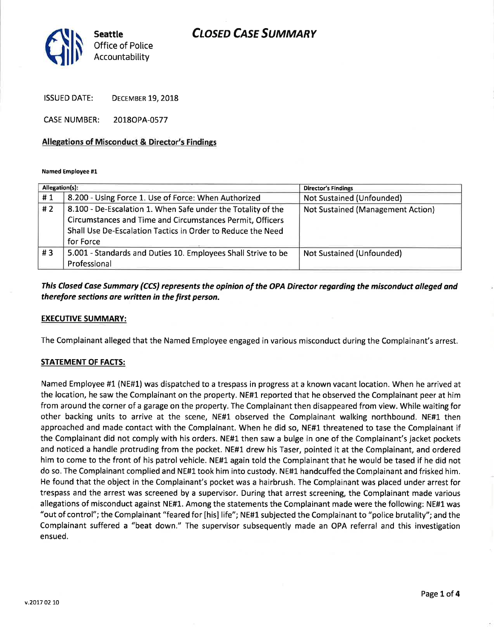# **CLOSED CASE SUMMARY**



ISSUED DATE: DECEMBER 19, 2018

CASE NUMBER: 20180PA-0577

## Allegations of Misconduct & Director's Findings

#### Named Employee #1

| Allegation(s): |                                                               | <b>Director's Findings</b>               |
|----------------|---------------------------------------------------------------|------------------------------------------|
| #1             | 8.200 - Using Force 1. Use of Force: When Authorized          | Not Sustained (Unfounded)                |
| #2             | 8.100 - De-Escalation 1. When Safe under the Totality of the  | <b>Not Sustained (Management Action)</b> |
|                | Circumstances and Time and Circumstances Permit, Officers     |                                          |
|                | Shall Use De-Escalation Tactics in Order to Reduce the Need   |                                          |
|                | for Force                                                     |                                          |
| #3             | 5.001 - Standards and Duties 10. Employees Shall Strive to be | Not Sustained (Unfounded)                |
|                | Professional                                                  |                                          |

# This Closed Cdse Summary (CCS) represents the opinion of the OPA Director regording the misconduct olleged and therefore sections are written in the first person.

### **EXECUTIVE SUMMARY:**

The Complainant alleged that the Named Employee engaged in various misconduct during the Complainant's arrest,

## STATEMENT OF FACTS:

Named Employee #1 (NE#1) was dispatched to a trespass in progress at a known vacant location. When he arrived at the location, he saw the Complainant on the property. NE#1 reported that he observed the Complainant peer at him from around the corner of a garage on the property. The Complainant then disappeared from view. While waiting for other backing units to arrive at the scene, NE#1 observed the Complainant walking northbound. NE#1 then approached and made contact with the Complainant. When he did so, NE#1 threatened to tase the Complainant if the Complainant did not comply with his orders. NE#1 then saw a bulge in one of the Complainant's jacket pockets and noticed a handle protruding from the pocket. NE#1 drew his Taser, pointed it at the Complainant, and ordered him to come to the front of his patrol vehicle. NE#L again told the Complainant that he would be tased if he did not do so. The Complainant complied and NE#L took him into custody. NE#l handcuffed the Complainant and frisked him. He found that the object in the Complainant's pocket was a hairbrush. The Complainant was placed under arrest for trespass and the arrest was screened by a supervisor. During that arrest screening, the Complainant made various allegations of misconduct against NE#1. Among the statements the Complainant made were the following: NE#1 was "out of control"; the Complainant "feared for [his] life"; NE#l subjected the Complainant to "police brutality"; and the Complainant suffered a "beat down." The supervisor subsequently made an OPA referral and this investigation ensued.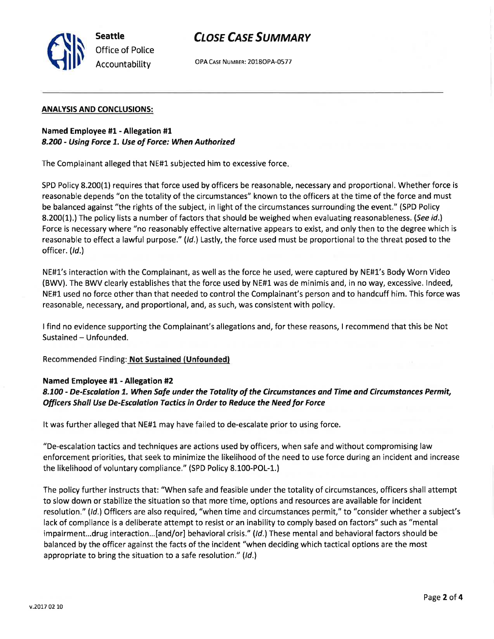

OPA CASE NUMBER: 2018OPA-0577

### ANALYSIS AND CONCLUSIONS:

Seattle

Office of Police Accountability

Slr

## Named Employee #1 - Allegation #1 8.200 - Using Force 1. Use of Force: When Authorized

The Complainant alleged that NE#1 subjected him to excessive force

SPD Policy 8.200(1) requires that force used by officers be reasonable, necessary and proportional. Whether force is reasonable depends "on the totality of the circumstances" known to the officers at the time of the force and must be balanced against "the rights of the subject, in light of the circumstances surrounding the event." (SPD Policy 8.200(1).) The policy lists a number of factors that should be weighed when evaluating reasonableness. (See id.) Force is necessary where "no reasonably effective alternative appears to exist, and only then to the degree which is reasonable to effect a lawful purpose." (Id.) Lastly, the force used must be proportional to the threat posed to the officer. (Id.)

NE#L's interaction with the Complainant, as well as the force he used, were captured by NE#l's Body Worn Video (BWV). The BWV clearly establishes that the force used by NE#1 was de minimis and, in no way, excessive. lndeed, NE#1 used no force other than that needed to control the Complainant's person and to handcuff him. This force was reasonable, necessary, and proportional, and, as such, was consistent with policy.

<sup>I</sup>find no evidence supporting the Complainant's allegations and, for these reasons, I recommend that this be Not Sustained - Unfounded.

Recommended Finding: Not Sustained (Unfounded)

## Named Employee #1 - Allegation #2

8.100 - De-Escalation 1. When Safe under the Totality of the Circumstances and Time and Circumstances Permit, Officers Shall Use De-Escalation Tactics in Order to Reduce the Need for Force

It was further alleged that NE#1 may have failed to de-escalate prior to using force.

"De-escalation tactics and techniques are actions used by officers, when safe and without compromising law enforcement priorities, that seek to minimize the likelihood of the need to use force during an incident and increase the likelihood of voluntary compliance." (SPD Policy 8.100-POL-1.)

The policy further instructs that: "When safe and feasible under the totality of circumstances, officers shall attempt to slow down or stabilize the situation so that more time, options and resources are available for incident resolution." (ld.) Officers are also required, "when time and circumstances permit," to "consider whether a subject's lack of compliance is a deliberate attempt to resist or an inability to comply based on factors" such as "mental impairment...drug interaction...[and/or] behavioral crisis." (Id.) These mental and behavioral factors should be balanced by the officer against the facts of the incident "when deciding which tactical options are the most appropriate to bring the situation to a safe resolution." (Id.)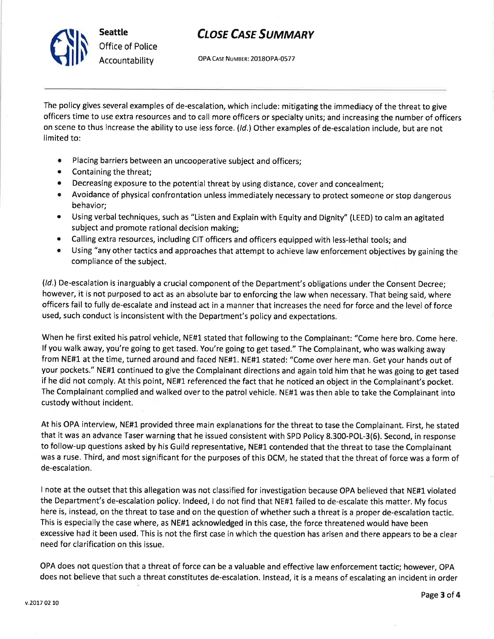

# **CLOSE CASE SUMMARY**

OPA CAsE NUMBER: 2OLSOPA-O577

The policy gives several examples of de-escalation, which include: mitigating the immediacy of the threat to give officers time to use extra resources and to call more officers or specialty units; and increasing the number of officers on scene to thus increase the ability to use less force. (Id.) Other examples of de-escalation include, but are not limited to:

- o Placing barriers between an uncooperative subject and officers;
- Containing the threat;
- Decreasing exposure to the potential threat by using distance, cover and concealment;
- o Avoidance of physical confrontation unless immediately necessary to protect someone or stop dangerous behavior;
- o Using verbal techniques, such as "Listen and Explain with Equity and Dignity" (LEED) to calm an agitated subject and promote rational decision making;
- Calling extra resources, including CIT officers and officers equipped with less-lethal tools; and
- o Using "any other tactics and approaches that attempt to achieve law enforcement objectives by gaining the compliance of the subject.

(/d.) De-escalation is inarguably a crucial component of the Department's obligations under the Consent Decree; however, it is not purposed to act as an absolute bar to enforcing the law when necessary. That being said, where officers fail to fully de-escalate and instead act in a manner that increases the need for force and the level of force used, such conduct is inconsistent with the Department's policy and expectations.

When he first exited his patrol vehicle, NE#1 stated that following to the Complainant: "Come here bro. Come here. lf you walk away, you're going to get tased. You're going to get tased." The Complainant, who was walking away from NE#1 at the time, turned around and faced NE#1. NE#1 stated: "Come over here man. Get your hands out of your pockets." NE#1 continued to give the Complainant directions and again told him that he was going to get tased if he did not comply. At this point, NE#1 referenced the fact that he noticed an object in the Complainant's pocket. The Complainant complied and walked over to the patrol vehicle. NE#1 was then able to take the Complainant into custody without incident.

At his OPA interview, NE#1 provided three main explanations for the threat to tase the Complainant. First, he stated that it was an advance Taser warning that he issued consistent with SPD Policy 8.300-POL-3(6). Second, in response to follow-up questions asked by his Guild representative, NE#1 contended that the threat to tase the Complainant was a ruse. Third, and most significant for the purposes of this DCM, he stated that the threat of force was a form of de-escalation.

I note at the outset that this allegation was not classified for investigation because OPA believed that NE#1 violated the Department's de-escalation policy. lndeed, I do not find that NE#1 failed to de-escalate this matter. My focus here is, instead, on the threat to tase and on the question of whether such a threat is a proper de-escalation tactic. This is especially the case where, as NE#1 acknowledged in this case, the force threatened would have been excessive had it been used. This is not the first case in which the question has arisen and there appears to be a clear need for clarification on this issue.

OPA does not question that a threat of force can be a valuable and effective law enforcement tactic; however, OPA does not believe that such a threat constitutes de-escalation. lnstead, it is a means of escalating an incident in order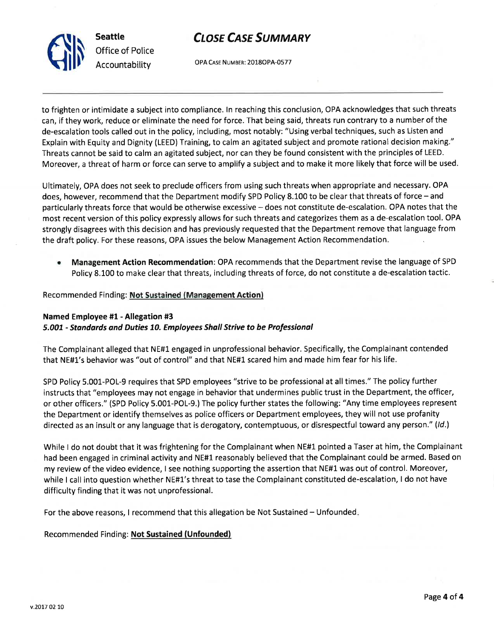



OPA CASE NUMBER: 2018OPA-0577

to frighten or intimidate a subject into compliance. ln reaching this conclusion, OPA acknowledges that such threats can, if they work, reduce or eliminate the need for force. That being said, threats run contrary to a number of the de-escalation tools called out in the policy, including, most notably: "Using verbal techniques, such as Listen and Explain with Equity and Dignity (LEED) Training, to calm an agitated subject and promote rational decision making." Threats cannot be said to calm an agitated subject, nor can they be found consistent with the principles of LEED. Moreover, a threat of harm or force can serve to amplify a subject and to make it more likely that force will be used,

Ultimately, OPA does not seek to preclude officers from using such threats when appropriate and necessary. OPA does, however, recommend that the Department modify SPD Policy 8.100 to be clear that threats of force - and particularly threats force that would be otherwise excessive - does not constitute de-escalation. OPA notes that the most recent version of this policy expressly allows for such threats and categorizes them as a de-escalation tool. OPA strongly disagrees with this decision and has previously requested that the Department remove that language from the draft policy. For these reasons, OPA issues the below Management Action Recommendation.

Management Action Recommendation: OPA recommends that the Department revise the language of SPD Policy 8.100 to make clear that threats, including threats of force, do not constitute a de-escalation tactic. a

# Recommended Finding: Not Sustained (Management Action)

# Named Employee #1 - Allegation #3 5.007 - standards ond Duties 70. Employees Shall Strive to be Professional

The Complainant alleged that NE#1 engaged in unprofessional behavior. Specifically, the Complainant contended that NE#1's behavior was "out of control" and that NE#1 scared him and made him fear for his life.

SPD Policy 5.001-POL-9 requires that SPD employees "strive to be professional at all times." The policy further instructs that "employees may not engage in behavior that undermines public trust in the Department, the officer, or other officers." (SPD Policy 5.001-POL-9.) The policy further states the following: "Any time employees represent the Department or identify themselves as police officers or Department employees, they will not use profanity directed as an insult or any language that is derogatory, contemptuous, or disrespectful toward any person." (ld.)

While I do not doubt that it was frightening for the Complainant when NE#1 pointed a Taser at him, the Complainant had been engaged in criminal activity and NE#1 reasonably believed that the Complainant could be armed. Based on my review of the video evidence, I see nothing supporting the assertion that NE#L was out of control. Moreover, while I call into question whether NE#1's threat to tase the Complainant constituted de-escalation, I do not have difficulty finding that it was not unprofessional.

For the above reasons, I recommend that this allegation be Not Sustained - Unfounded

# Recommended Finding: Not Sustained (Unfounded)